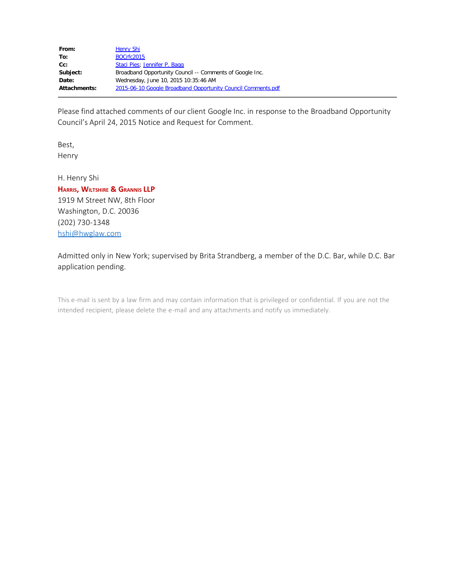| From:               | <b>Henry Shi</b>                                             |
|---------------------|--------------------------------------------------------------|
| To:                 | <b>BOCrfc2015</b>                                            |
| $Cc$ :              | Staci Pies; Jennifer P. Bagg                                 |
| Subject:            | Broadband Opportunity Council -- Comments of Google Inc.     |
| Date:               | Wednesday, June 10, 2015 10:35:46 AM                         |
| <b>Attachments:</b> | 2015-06-10 Google Broadband Opportunity Council Comments.pdf |

Please find attached comments of our client Google Inc. in response to the Broadband Opportunity Council's April 24, 2015 Notice and Request for Comment.

Best, Henry

H. Henry Shi

**Harris, Wiltshire & Grannis LLP** 1919 M Street NW, 8th Floor Washington, D.C. 20036 (202) 730-1348 [hshi@hwglaw.com](mailto:hshi@hwglaw.com)

Admitted only in New York; supervised by Brita Strandberg, a member of the D.C. Bar, while D.C. Bar application pending.

This e-mail is sent by a law firm and may contain information that is privileged or confidential. If you are not the intended recipient, please delete the e-mail and any attachments and notify us immediately.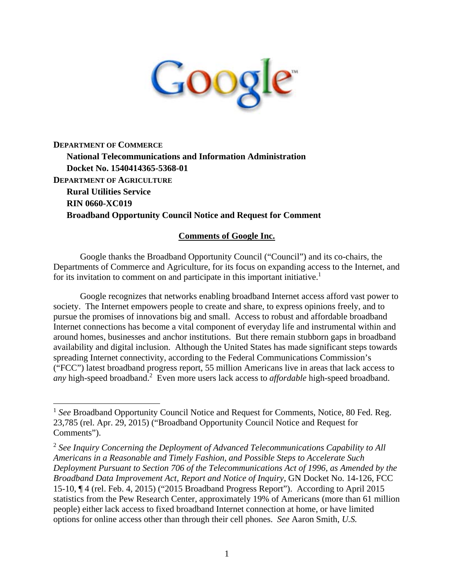

**DEPARTMENT OF COMMERCE National Telecommunications and Information Administration Docket No. 1540414365-5368-01 DEPARTMENT OF AGRICULTURE Rural Utilities Service RIN 0660-XC019 Broadband Opportunity Council Notice and Request for Comment**

#### **Comments of Google Inc.**

Google thanks the Broadband Opportunity Council ("Council") and its co-chairs, the Departments of Commerce and Agriculture, for its focus on expanding access to the Internet, and for its invitation to comment on and participate in this important initiative.<sup>1</sup>

Google recognizes that networks enabling broadband Internet access afford vast power to society. The Internet empowers people to create and share, to express opinions freely, and to pursue the promises of innovations big and small. Access to robust and affordable broadband Internet connections has become a vital component of everyday life and instrumental within and around homes, businesses and anchor institutions. But there remain stubborn gaps in broadband availability and digital inclusion. Although the United States has made significant steps towards spreading Internet connectivity, according to the Federal Communications Commission's ("FCC") latest broadband progress report, 55 million Americans live in areas that lack access to any high-speed broadband.<sup>2</sup> Even more users lack access to *affordable* high-speed broadband.

<sup>&</sup>lt;sup>1</sup> See Broadband Opportunity Council Notice and Request for Comments, Notice, 80 Fed. Reg. 23,785 (rel. Apr. 29, 2015) ("Broadband Opportunity Council Notice and Request for Comments").

<sup>2</sup> *See Inquiry Concerning the Deployment of Advanced Telecommunications Capability to All Americans in a Reasonable and Timely Fashion, and Possible Steps to Accelerate Such Deployment Pursuant to Section 706 of the Telecommunications Act of 1996, as Amended by the Broadband Data Improvement Act, Report and Notice of Inquiry*, GN Docket No. 14-126, FCC 15-10, ¶ 4 (rel. Feb. 4, 2015) ("2015 Broadband Progress Report"). According to April 2015 statistics from the Pew Research Center, approximately 19% of Americans (more than 61 million people) either lack access to fixed broadband Internet connection at home, or have limited options for online access other than through their cell phones. *See* Aaron Smith, *U.S.*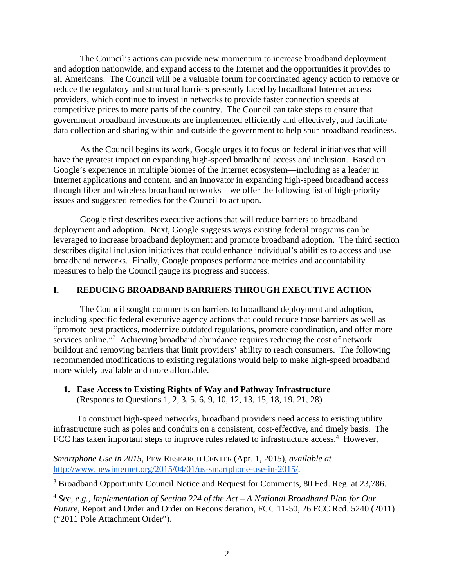The Council's actions can provide new momentum to increase broadband deployment and adoption nationwide, and expand access to the Internet and the opportunities it provides to all Americans. The Council will be a valuable forum for coordinated agency action to remove or reduce the regulatory and structural barriers presently faced by broadband Internet access providers, which continue to invest in networks to provide faster connection speeds at competitive prices to more parts of the country. The Council can take steps to ensure that government broadband investments are implemented efficiently and effectively, and facilitate data collection and sharing within and outside the government to help spur broadband readiness.

As the Council begins its work, Google urges it to focus on federal initiatives that will have the greatest impact on expanding high-speed broadband access and inclusion. Based on Google's experience in multiple biomes of the Internet ecosystem—including as a leader in Internet applications and content, and an innovator in expanding high-speed broadband access through fiber and wireless broadband networks—we offer the following list of high-priority issues and suggested remedies for the Council to act upon.

Google first describes executive actions that will reduce barriers to broadband deployment and adoption. Next, Google suggests ways existing federal programs can be leveraged to increase broadband deployment and promote broadband adoption. The third section describes digital inclusion initiatives that could enhance individual's abilities to access and use broadband networks. Finally, Google proposes performance metrics and accountability measures to help the Council gauge its progress and success.

## **I. REDUCING BROADBAND BARRIERS THROUGH EXECUTIVE ACTION**

The Council sought comments on barriers to broadband deployment and adoption, including specific federal executive agency actions that could reduce those barriers as well as "promote best practices, modernize outdated regulations, promote coordination, and offer more services online."<sup>3</sup> Achieving broadband abundance requires reducing the cost of network buildout and removing barriers that limit providers' ability to reach consumers. The following recommended modifications to existing regulations would help to make high-speed broadband more widely available and more affordable.

#### **1. Ease Access to Existing Rights of Way and Pathway Infrastructure**  (Responds to Questions 1, 2, 3, 5, 6, 9, 10, 12, 13, 15, 18, 19, 21, 28)

To construct high-speed networks, broadband providers need access to existing utility infrastructure such as poles and conduits on a consistent, cost-effective, and timely basis. The FCC has taken important steps to improve rules related to infrastructure access.<sup>4</sup> However,

*Smartphone Use in 2015*, PEW RESEARCH CENTER (Apr. 1, 2015), *available at*  http://www.pewinternet.org/2015/04/01/us-smartphone-use-in-2015/.

<sup>3</sup> Broadband Opportunity Council Notice and Request for Comments, 80 Fed. Reg. at 23,786.

<sup>4</sup> *See, e.g.*, *Implementation of Section 224 of the Act – A National Broadband Plan for Our Future*, Report and Order and Order on Reconsideration, FCC 11-50, 26 FCC Rcd. 5240 (2011) ("2011 Pole Attachment Order").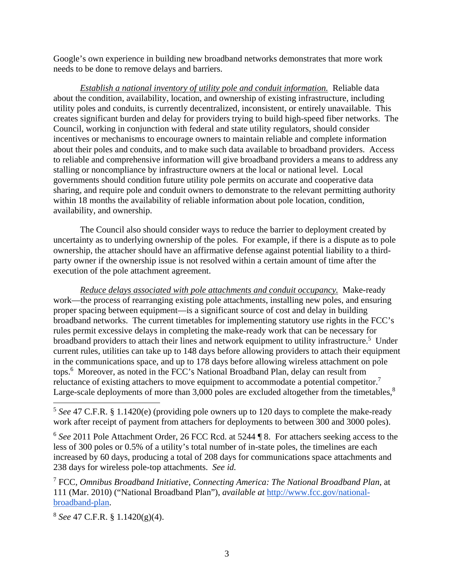Google's own experience in building new broadband networks demonstrates that more work needs to be done to remove delays and barriers.

*Establish a national inventory of utility pole and conduit information.* Reliable data about the condition, availability, location, and ownership of existing infrastructure, including utility poles and conduits, is currently decentralized, inconsistent, or entirely unavailable. This creates significant burden and delay for providers trying to build high-speed fiber networks. The Council, working in conjunction with federal and state utility regulators, should consider incentives or mechanisms to encourage owners to maintain reliable and complete information about their poles and conduits, and to make such data available to broadband providers. Access to reliable and comprehensive information will give broadband providers a means to address any stalling or noncompliance by infrastructure owners at the local or national level. Local governments should condition future utility pole permits on accurate and cooperative data sharing, and require pole and conduit owners to demonstrate to the relevant permitting authority within 18 months the availability of reliable information about pole location, condition, availability, and ownership.

The Council also should consider ways to reduce the barrier to deployment created by uncertainty as to underlying ownership of the poles. For example, if there is a dispute as to pole ownership, the attacher should have an affirmative defense against potential liability to a thirdparty owner if the ownership issue is not resolved within a certain amount of time after the execution of the pole attachment agreement.

*Reduce delays associated with pole attachments and conduit occupancy.* Make-ready work—the process of rearranging existing pole attachments, installing new poles, and ensuring proper spacing between equipment—is a significant source of cost and delay in building broadband networks. The current timetables for implementing statutory use rights in the FCC's rules permit excessive delays in completing the make-ready work that can be necessary for broadband providers to attach their lines and network equipment to utility infrastructure.<sup>5</sup> Under current rules, utilities can take up to 148 days before allowing providers to attach their equipment in the communications space, and up to 178 days before allowing wireless attachment on pole tops.6 Moreover, as noted in the FCC's National Broadband Plan, delay can result from reluctance of existing attachers to move equipment to accommodate a potential competitor.<sup>7</sup> Large-scale deployments of more than 3,000 poles are excluded altogether from the timetables.<sup>8</sup>

<sup>6</sup> *See* 2011 Pole Attachment Order, 26 FCC Rcd. at 5244 ¶ 8. For attachers seeking access to the less of 300 poles or 0.5% of a utility's total number of in-state poles, the timelines are each increased by 60 days, producing a total of 208 days for communications space attachments and 238 days for wireless pole-top attachments. *See id.*

7 FCC, *Omnibus Broadband Initiative, Connecting America: The National Broadband Plan*, at 111 (Mar. 2010) ("National Broadband Plan"), *available at* http://www.fcc.gov/nationalbroadband-plan.

<sup>8</sup> *See* 47 C.F.R. § 1.1420(g)(4).

<sup>5</sup> *See* 47 C.F.R. § 1.1420(e) (providing pole owners up to 120 days to complete the make-ready work after receipt of payment from attachers for deployments to between 300 and 3000 poles).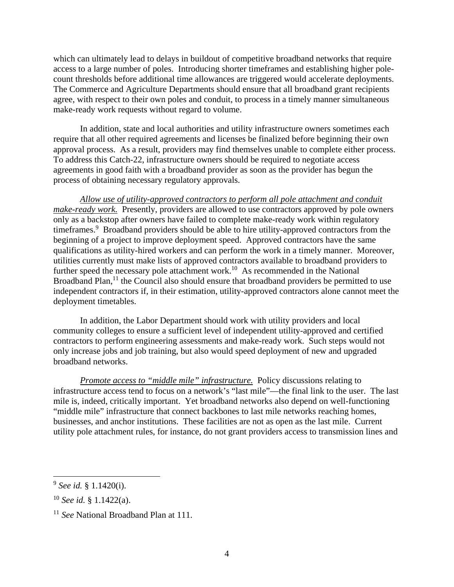which can ultimately lead to delays in buildout of competitive broadband networks that require access to a large number of poles. Introducing shorter timeframes and establishing higher polecount thresholds before additional time allowances are triggered would accelerate deployments. The Commerce and Agriculture Departments should ensure that all broadband grant recipients agree, with respect to their own poles and conduit, to process in a timely manner simultaneous make-ready work requests without regard to volume.

In addition, state and local authorities and utility infrastructure owners sometimes each require that all other required agreements and licenses be finalized before beginning their own approval process. As a result, providers may find themselves unable to complete either process. To address this Catch-22, infrastructure owners should be required to negotiate access agreements in good faith with a broadband provider as soon as the provider has begun the process of obtaining necessary regulatory approvals.

*Allow use of utility-approved contractors to perform all pole attachment and conduit make-ready work.* Presently, providers are allowed to use contractors approved by pole owners only as a backstop after owners have failed to complete make-ready work within regulatory timeframes.<sup>9</sup> Broadband providers should be able to hire utility-approved contractors from the beginning of a project to improve deployment speed. Approved contractors have the same qualifications as utility-hired workers and can perform the work in a timely manner. Moreover, utilities currently must make lists of approved contractors available to broadband providers to further speed the necessary pole attachment work.<sup>10</sup> As recommended in the National Broadband Plan, $<sup>11</sup>$  the Council also should ensure that broadband providers be permitted to use</sup> independent contractors if, in their estimation, utility-approved contractors alone cannot meet the deployment timetables.

In addition, the Labor Department should work with utility providers and local community colleges to ensure a sufficient level of independent utility-approved and certified contractors to perform engineering assessments and make-ready work. Such steps would not only increase jobs and job training, but also would speed deployment of new and upgraded broadband networks.

*Promote access to "middle mile" infrastructure.* Policy discussions relating to infrastructure access tend to focus on a network's "last mile"—the final link to the user. The last mile is, indeed, critically important. Yet broadband networks also depend on well-functioning "middle mile" infrastructure that connect backbones to last mile networks reaching homes, businesses, and anchor institutions. These facilities are not as open as the last mile. Current utility pole attachment rules, for instance, do not grant providers access to transmission lines and

<sup>9</sup> *See id.* § 1.1420(i).

<sup>10</sup> *See id.* § 1.1422(a).

<sup>11</sup> *See* National Broadband Plan at 111.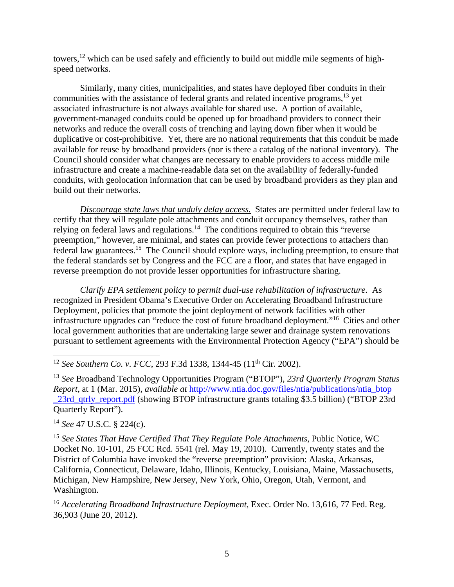towers,<sup>12</sup> which can be used safely and efficiently to build out middle mile segments of highspeed networks.

Similarly, many cities, municipalities, and states have deployed fiber conduits in their communities with the assistance of federal grants and related incentive programs,<sup>13</sup> yet associated infrastructure is not always available for shared use. A portion of available, government-managed conduits could be opened up for broadband providers to connect their networks and reduce the overall costs of trenching and laying down fiber when it would be duplicative or cost-prohibitive. Yet, there are no national requirements that this conduit be made available for reuse by broadband providers (nor is there a catalog of the national inventory). The Council should consider what changes are necessary to enable providers to access middle mile infrastructure and create a machine-readable data set on the availability of federally-funded conduits, with geolocation information that can be used by broadband providers as they plan and build out their networks.

*Discourage state laws that unduly delay access.* States are permitted under federal law to certify that they will regulate pole attachments and conduit occupancy themselves, rather than relying on federal laws and regulations.<sup>14</sup> The conditions required to obtain this "reverse" preemption," however, are minimal, and states can provide fewer protections to attachers than federal law guarantees.15 The Council should explore ways, including preemption, to ensure that the federal standards set by Congress and the FCC are a floor, and states that have engaged in reverse preemption do not provide lesser opportunities for infrastructure sharing.

*Clarify EPA settlement policy to permit dual-use rehabilitation of infrastructure.* As recognized in President Obama's Executive Order on Accelerating Broadband Infrastructure Deployment, policies that promote the joint deployment of network facilities with other infrastructure upgrades can "reduce the cost of future broadband deployment."16 Cities and other local government authorities that are undertaking large sewer and drainage system renovations pursuant to settlement agreements with the Environmental Protection Agency ("EPA") should be

 $\overline{a}$ <sup>12</sup> *See Southern Co. v. FCC*, 293 F.3d 1338, 1344-45 (11<sup>th</sup> Cir. 2002).

<sup>13</sup> *See* Broadband Technology Opportunities Program ("BTOP"), *23rd Quarterly Program Status Report*, at 1 (Mar. 2015), *available at* http://www.ntia.doc.gov/files/ntia/publications/ntia\_btop \_23rd\_qtrly\_report.pdf (showing BTOP infrastructure grants totaling \$3.5 billion) ("BTOP 23rd Quarterly Report").

<sup>14</sup> *See* 47 U.S.C. § 224(c).

<sup>15</sup> *See States That Have Certified That They Regulate Pole Attachments*, Public Notice, WC Docket No. 10-101, 25 FCC Rcd. 5541 (rel. May 19, 2010). Currently, twenty states and the District of Columbia have invoked the "reverse preemption" provision: Alaska, Arkansas, California, Connecticut, Delaware, Idaho, Illinois, Kentucky, Louisiana, Maine, Massachusetts, Michigan, New Hampshire, New Jersey, New York, Ohio, Oregon, Utah, Vermont, and Washington.

<sup>16</sup> Accelerating Broadband Infrastructure Deployment, Exec. Order No. 13,616, 77 Fed. Reg. 36,903 (June 20, 2012).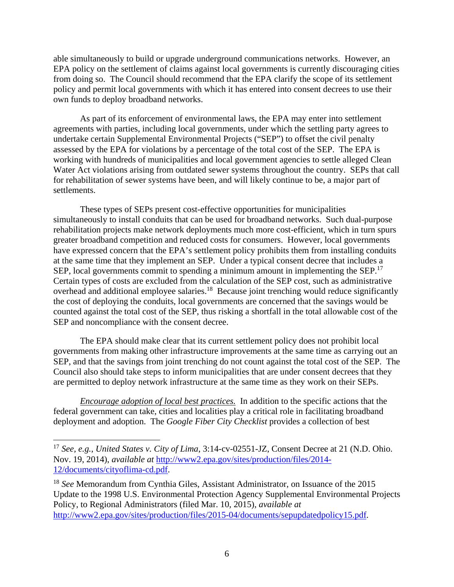able simultaneously to build or upgrade underground communications networks. However, an EPA policy on the settlement of claims against local governments is currently discouraging cities from doing so. The Council should recommend that the EPA clarify the scope of its settlement policy and permit local governments with which it has entered into consent decrees to use their own funds to deploy broadband networks.

As part of its enforcement of environmental laws, the EPA may enter into settlement agreements with parties, including local governments, under which the settling party agrees to undertake certain Supplemental Environmental Projects ("SEP") to offset the civil penalty assessed by the EPA for violations by a percentage of the total cost of the SEP. The EPA is working with hundreds of municipalities and local government agencies to settle alleged Clean Water Act violations arising from outdated sewer systems throughout the country. SEPs that call for rehabilitation of sewer systems have been, and will likely continue to be, a major part of settlements.

These types of SEPs present cost-effective opportunities for municipalities simultaneously to install conduits that can be used for broadband networks. Such dual-purpose rehabilitation projects make network deployments much more cost-efficient, which in turn spurs greater broadband competition and reduced costs for consumers. However, local governments have expressed concern that the EPA's settlement policy prohibits them from installing conduits at the same time that they implement an SEP. Under a typical consent decree that includes a SEP, local governments commit to spending a minimum amount in implementing the SEP.<sup>17</sup> Certain types of costs are excluded from the calculation of the SEP cost, such as administrative overhead and additional employee salaries.<sup>18</sup> Because joint trenching would reduce significantly the cost of deploying the conduits, local governments are concerned that the savings would be counted against the total cost of the SEP, thus risking a shortfall in the total allowable cost of the SEP and noncompliance with the consent decree.

The EPA should make clear that its current settlement policy does not prohibit local governments from making other infrastructure improvements at the same time as carrying out an SEP, and that the savings from joint trenching do not count against the total cost of the SEP. The Council also should take steps to inform municipalities that are under consent decrees that they are permitted to deploy network infrastructure at the same time as they work on their SEPs.

*Encourage adoption of local best practices.*In addition to the specific actions that the federal government can take, cities and localities play a critical role in facilitating broadband deployment and adoption. The *Google Fiber City Checklist* provides a collection of best

<sup>17</sup> *See, e.g.*, *United States v. City of Lima*, 3:14-cv-02551-JZ, Consent Decree at 21 (N.D. Ohio. Nov. 19, 2014), *available at* http://www2.epa.gov/sites/production/files/2014- 12/documents/cityoflima-cd.pdf.

<sup>18</sup> *See* Memorandum from Cynthia Giles, Assistant Administrator, on Issuance of the 2015 Update to the 1998 U.S. Environmental Protection Agency Supplemental Environmental Projects Policy, to Regional Administrators (filed Mar. 10, 2015), *available at*  http://www2.epa.gov/sites/production/files/2015-04/documents/sepupdatedpolicy15.pdf.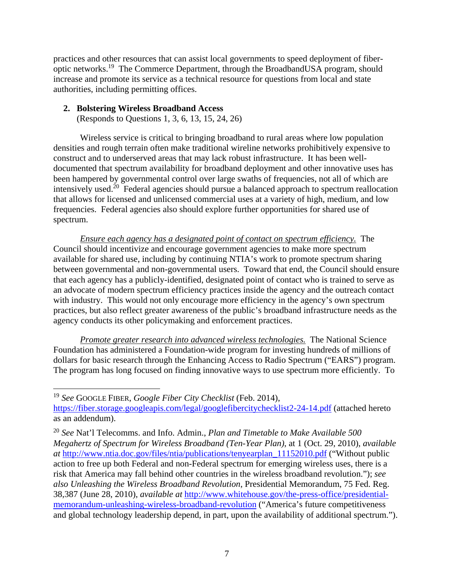practices and other resources that can assist local governments to speed deployment of fiberoptic networks.19 The Commerce Department, through the BroadbandUSA program, should increase and promote its service as a technical resource for questions from local and state authorities, including permitting offices.

# **2. Bolstering Wireless Broadband Access**

(Responds to Questions 1, 3, 6, 13, 15, 24, 26)

Wireless service is critical to bringing broadband to rural areas where low population densities and rough terrain often make traditional wireline networks prohibitively expensive to construct and to underserved areas that may lack robust infrastructure. It has been welldocumented that spectrum availability for broadband deployment and other innovative uses has been hampered by governmental control over large swaths of frequencies, not all of which are intensively used.20 Federal agencies should pursue a balanced approach to spectrum reallocation that allows for licensed and unlicensed commercial uses at a variety of high, medium, and low frequencies. Federal agencies also should explore further opportunities for shared use of spectrum.

*Ensure each agency has a designated point of contact on spectrum efficiency.* The Council should incentivize and encourage government agencies to make more spectrum available for shared use, including by continuing NTIA's work to promote spectrum sharing between governmental and non-governmental users. Toward that end, the Council should ensure that each agency has a publicly-identified, designated point of contact who is trained to serve as an advocate of modern spectrum efficiency practices inside the agency and the outreach contact with industry. This would not only encourage more efficiency in the agency's own spectrum practices, but also reflect greater awareness of the public's broadband infrastructure needs as the agency conducts its other policymaking and enforcement practices.

*Promote greater research into advanced wireless technologies.* The National Science Foundation has administered a Foundation-wide program for investing hundreds of millions of dollars for basic research through the Enhancing Access to Radio Spectrum ("EARS") program. The program has long focused on finding innovative ways to use spectrum more efficiently. To

<sup>19</sup> *See* GOOGLE FIBER, *Google Fiber City Checklist* (Feb. 2014), https://fiber.storage.googleapis.com/legal/googlefibercitychecklist2-24-14.pdf (attached hereto as an addendum).

<sup>20</sup> *See* Nat'l Telecomms. and Info. Admin., *Plan and Timetable to Make Available 500 Megahertz of Spectrum for Wireless Broadband (Ten-Year Plan)*, at 1 (Oct. 29, 2010), *available at* http://www.ntia.doc.gov/files/ntia/publications/tenyearplan\_11152010.pdf ("Without public action to free up both Federal and non-Federal spectrum for emerging wireless uses, there is a risk that America may fall behind other countries in the wireless broadband revolution."); *see also Unleashing the Wireless Broadband Revolution*, Presidential Memorandum, 75 Fed. Reg. 38,387 (June 28, 2010), *available at* http://www.whitehouse.gov/the-press-office/presidentialmemorandum-unleashing-wireless-broadband-revolution ("America's future competitiveness and global technology leadership depend, in part, upon the availability of additional spectrum.").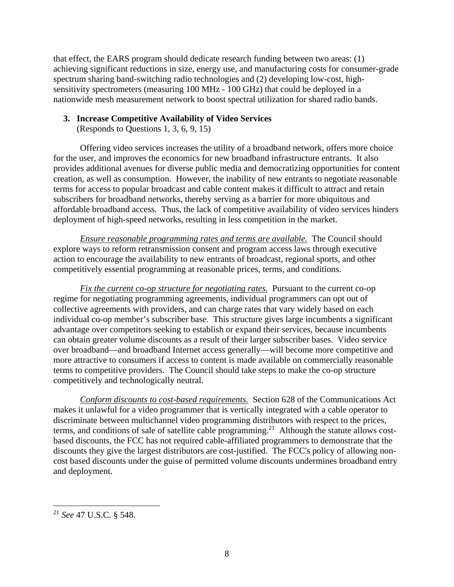that effect, the EARS program should dedicate research funding between two areas: (1) achieving significant reductions in size, energy use, and manufacturing costs for consumer-grade spectrum sharing band-switching radio technologies and (2) developing low-cost, highsensitivity spectrometers (measuring 100 MHz - 100 GHz) that could be deployed in a nationwide mesh measurement network to boost spectral utilization for shared radio bands.

## **3. Increase Competitive Availability of Video Services**

(Responds to Questions 1, 3, 6, 9, 15)

Offering video services increases the utility of a broadband network, offers more choice for the user, and improves the economics for new broadband infrastructure entrants. It also provides additional avenues for diverse public media and democratizing opportunities for content creation, as well as consumption. However, the inability of new entrants to negotiate reasonable terms for access to popular broadcast and cable content makes it difficult to attract and retain subscribers for broadband networks, thereby serving as a barrier for more ubiquitous and affordable broadband access. Thus, the lack of competitive availability of video services hinders deployment of high-speed networks, resulting in less competition in the market.

*Ensure reasonable programming rates and terms are available.* The Council should explore ways to reform retransmission consent and program access laws through executive action to encourage the availability to new entrants of broadcast, regional sports, and other competitively essential programming at reasonable prices, terms, and conditions.

*Fix the current co-op structure for negotiating rates.* Pursuant to the current co-op regime for negotiating programming agreements, individual programmers can opt out of collective agreements with providers, and can charge rates that vary widely based on each individual co-op member's subscriber base. This structure gives large incumbents a significant advantage over competitors seeking to establish or expand their services, because incumbents can obtain greater volume discounts as a result of their larger subscriber bases. Video service over broadband—and broadband Internet access generally—will become more competitive and more attractive to consumers if access to content is made available on commercially reasonable terms to competitive providers. The Council should take steps to make the co-op structure competitively and technologically neutral.

*Conform discounts to cost-based requirements.* Section 628 of the Communications Act makes it unlawful for a video programmer that is vertically integrated with a cable operator to discriminate between multichannel video programming distributors with respect to the prices, terms, and conditions of sale of satellite cable programming.<sup>21</sup> Although the statute allows costbased discounts, the FCC has not required cable-affiliated programmers to demonstrate that the discounts they give the largest distributors are cost-justified. The FCC's policy of allowing noncost based discounts under the guise of permitted volume discounts undermines broadband entry and deployment.

<sup>21</sup> *See* 47 U.S.C. § 548.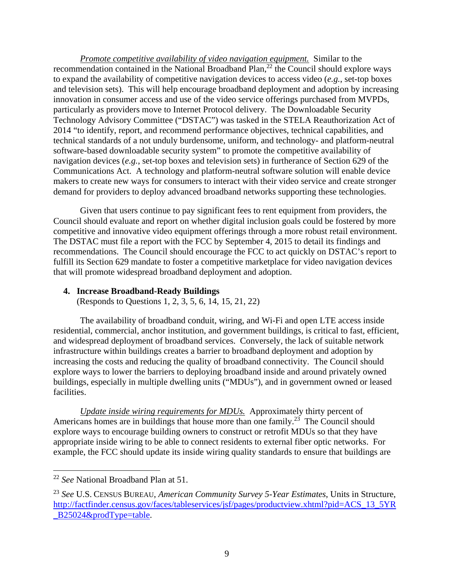*Promote competitive availability of video navigation equipment.* Similar to the recommendation contained in the National Broadband Plan,<sup>22</sup> the Council should explore ways to expand the availability of competitive navigation devices to access video (*e.g.*, set-top boxes and television sets). This will help encourage broadband deployment and adoption by increasing innovation in consumer access and use of the video service offerings purchased from MVPDs, particularly as providers move to Internet Protocol delivery. The Downloadable Security Technology Advisory Committee ("DSTAC") was tasked in the STELA Reauthorization Act of 2014 "to identify, report, and recommend performance objectives, technical capabilities, and technical standards of a not unduly burdensome, uniform, and technology- and platform-neutral software-based downloadable security system" to promote the competitive availability of navigation devices (*e.g.*, set-top boxes and television sets) in furtherance of Section 629 of the Communications Act. A technology and platform-neutral software solution will enable device makers to create new ways for consumers to interact with their video service and create stronger demand for providers to deploy advanced broadband networks supporting these technologies.

Given that users continue to pay significant fees to rent equipment from providers, the Council should evaluate and report on whether digital inclusion goals could be fostered by more competitive and innovative video equipment offerings through a more robust retail environment. The DSTAC must file a report with the FCC by September 4, 2015 to detail its findings and recommendations. The Council should encourage the FCC to act quickly on DSTAC's report to fulfill its Section 629 mandate to foster a competitive marketplace for video navigation devices that will promote widespread broadband deployment and adoption.

#### **4. Increase Broadband-Ready Buildings**

(Responds to Questions 1, 2, 3, 5, 6, 14, 15, 21, 22)

The availability of broadband conduit, wiring, and Wi-Fi and open LTE access inside residential, commercial, anchor institution, and government buildings, is critical to fast, efficient, and widespread deployment of broadband services. Conversely, the lack of suitable network infrastructure within buildings creates a barrier to broadband deployment and adoption by increasing the costs and reducing the quality of broadband connectivity. The Council should explore ways to lower the barriers to deploying broadband inside and around privately owned buildings, especially in multiple dwelling units ("MDUs"), and in government owned or leased facilities.

*Update inside wiring requirements for MDUs.* Approximately thirty percent of Americans homes are in buildings that house more than one family.<sup>23</sup> The Council should explore ways to encourage building owners to construct or retrofit MDUs so that they have appropriate inside wiring to be able to connect residents to external fiber optic networks. For example, the FCC should update its inside wiring quality standards to ensure that buildings are

 $\overline{a}$ 

<sup>22</sup> *See* National Broadband Plan at 51.

<sup>23</sup> *See* U.S. CENSUS BUREAU, *American Community Survey 5-Year Estimates*, Units in Structure, http://factfinder.census.gov/faces/tableservices/jsf/pages/productview.xhtml?pid=ACS\_13\_5YR \_B25024&prodType=table.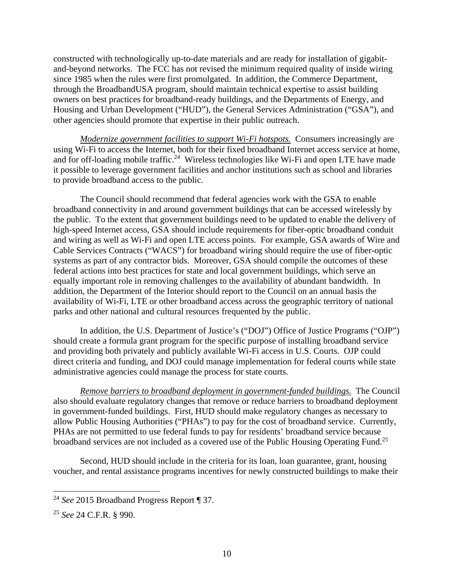constructed with technologically up-to-date materials and are ready for installation of gigabitand-beyond networks. The FCC has not revised the minimum required quality of inside wiring since 1985 when the rules were first promulgated. In addition, the Commerce Department, through the BroadbandUSA program, should maintain technical expertise to assist building owners on best practices for broadband-ready buildings, and the Departments of Energy, and Housing and Urban Development ("HUD"), the General Services Administration ("GSA"), and other agencies should promote that expertise in their public outreach.

*Modernize government facilities to support Wi-Fi hotspots.* Consumers increasingly are using Wi-Fi to access the Internet, both for their fixed broadband Internet access service at home, and for off-loading mobile traffic.<sup>24</sup> Wireless technologies like Wi-Fi and open LTE have made it possible to leverage government facilities and anchor institutions such as school and libraries to provide broadband access to the public.

The Council should recommend that federal agencies work with the GSA to enable broadband connectivity in and around government buildings that can be accessed wirelessly by the public. To the extent that government buildings need to be updated to enable the delivery of high-speed Internet access, GSA should include requirements for fiber-optic broadband conduit and wiring as well as Wi-Fi and open LTE access points. For example, GSA awards of Wire and Cable Services Contracts ("WACS") for broadband wiring should require the use of fiber-optic systems as part of any contractor bids. Moreover, GSA should compile the outcomes of these federal actions into best practices for state and local government buildings, which serve an equally important role in removing challenges to the availability of abundant bandwidth. In addition, the Department of the Interior should report to the Council on an annual basis the availability of Wi-Fi, LTE or other broadband access across the geographic territory of national parks and other national and cultural resources frequented by the public.

In addition, the U.S. Department of Justice's ("DOJ") Office of Justice Programs ("OJP") should create a formula grant program for the specific purpose of installing broadband service and providing both privately and publicly available Wi-Fi access in U.S. Courts. OJP could direct criteria and funding, and DOJ could manage implementation for federal courts while state administrative agencies could manage the process for state courts.

*Remove barriers to broadband deployment in government-funded buildings.* The Council also should evaluate regulatory changes that remove or reduce barriers to broadband deployment in government-funded buildings. First, HUD should make regulatory changes as necessary to allow Public Housing Authorities ("PHAs") to pay for the cost of broadband service. Currently, PHAs are not permitted to use federal funds to pay for residents' broadband service because broadband services are not included as a covered use of the Public Housing Operating Fund.<sup>25</sup>

Second, HUD should include in the criteria for its loan, loan guarantee, grant, housing voucher, and rental assistance programs incentives for newly constructed buildings to make their

<sup>24</sup> *See* 2015 Broadband Progress Report ¶ 37.

<sup>25</sup> *See* 24 C.F.R. § 990.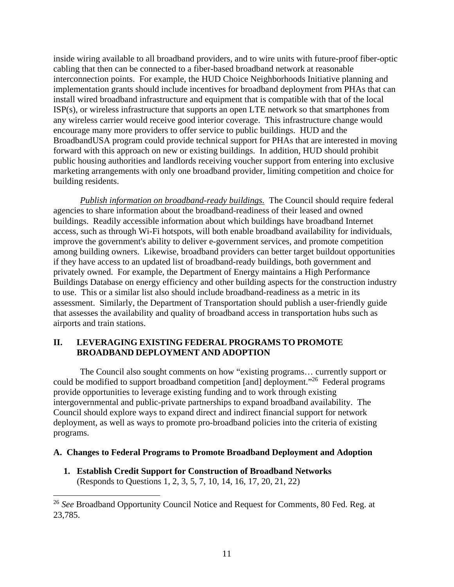inside wiring available to all broadband providers, and to wire units with future-proof fiber-optic cabling that then can be connected to a fiber-based broadband network at reasonable interconnection points. For example, the HUD Choice Neighborhoods Initiative planning and implementation grants should include incentives for broadband deployment from PHAs that can install wired broadband infrastructure and equipment that is compatible with that of the local ISP(s), or wireless infrastructure that supports an open LTE network so that smartphones from any wireless carrier would receive good interior coverage. This infrastructure change would encourage many more providers to offer service to public buildings. HUD and the BroadbandUSA program could provide technical support for PHAs that are interested in moving forward with this approach on new or existing buildings. In addition, HUD should prohibit public housing authorities and landlords receiving voucher support from entering into exclusive marketing arrangements with only one broadband provider, limiting competition and choice for building residents.

*Publish information on broadband-ready buildings.* The Council should require federal agencies to share information about the broadband-readiness of their leased and owned buildings. Readily accessible information about which buildings have broadband Internet access, such as through Wi-Fi hotspots, will both enable broadband availability for individuals, improve the government's ability to deliver e-government services, and promote competition among building owners. Likewise, broadband providers can better target buildout opportunities if they have access to an updated list of broadband-ready buildings, both government and privately owned. For example, the Department of Energy maintains a High Performance Buildings Database on energy efficiency and other building aspects for the construction industry to use. This or a similar list also should include broadband-readiness as a metric in its assessment. Similarly, the Department of Transportation should publish a user-friendly guide that assesses the availability and quality of broadband access in transportation hubs such as airports and train stations.

## **II. LEVERAGING EXISTING FEDERAL PROGRAMS TO PROMOTE BROADBAND DEPLOYMENT AND ADOPTION**

The Council also sought comments on how "existing programs… currently support or could be modified to support broadband competition [and] deployment."<sup>26</sup> Federal programs provide opportunities to leverage existing funding and to work through existing intergovernmental and public-private partnerships to expand broadband availability. The Council should explore ways to expand direct and indirect financial support for network deployment, as well as ways to promote pro-broadband policies into the criteria of existing programs.

## **A. Changes to Federal Programs to Promote Broadband Deployment and Adoption**

**1. Establish Credit Support for Construction of Broadband Networks**  (Responds to Questions 1, 2, 3, 5, 7, 10, 14, 16, 17, 20, 21, 22)

<sup>26</sup> *See* Broadband Opportunity Council Notice and Request for Comments, 80 Fed. Reg. at 23,785.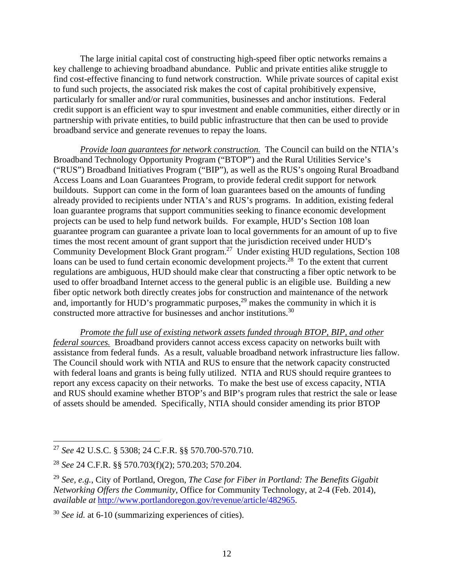The large initial capital cost of constructing high-speed fiber optic networks remains a key challenge to achieving broadband abundance. Public and private entities alike struggle to find cost-effective financing to fund network construction. While private sources of capital exist to fund such projects, the associated risk makes the cost of capital prohibitively expensive, particularly for smaller and/or rural communities, businesses and anchor institutions. Federal credit support is an efficient way to spur investment and enable communities, either directly or in partnership with private entities, to build public infrastructure that then can be used to provide broadband service and generate revenues to repay the loans.

*Provide loan guarantees for network construction.* The Council can build on the NTIA's Broadband Technology Opportunity Program ("BTOP") and the Rural Utilities Service's ("RUS") Broadband Initiatives Program ("BIP"), as well as the RUS's ongoing Rural Broadband Access Loans and Loan Guarantees Program, to provide federal credit support for network buildouts. Support can come in the form of loan guarantees based on the amounts of funding already provided to recipients under NTIA's and RUS's programs. In addition, existing federal loan guarantee programs that support communities seeking to finance economic development projects can be used to help fund network builds. For example, HUD's Section 108 loan guarantee program can guarantee a private loan to local governments for an amount of up to five times the most recent amount of grant support that the jurisdiction received under HUD's Community Development Block Grant program.27 Under existing HUD regulations, Section 108 loans can be used to fund certain economic development projects.<sup>28</sup> To the extent that current regulations are ambiguous, HUD should make clear that constructing a fiber optic network to be used to offer broadband Internet access to the general public is an eligible use. Building a new fiber optic network both directly creates jobs for construction and maintenance of the network and, importantly for HUD's programmatic purposes, $^{29}$  makes the community in which it is constructed more attractive for businesses and anchor institutions.30

*Promote the full use of existing network assets funded through BTOP, BIP, and other federal sources.* Broadband providers cannot access excess capacity on networks built with assistance from federal funds. As a result, valuable broadband network infrastructure lies fallow. The Council should work with NTIA and RUS to ensure that the network capacity constructed with federal loans and grants is being fully utilized. NTIA and RUS should require grantees to report any excess capacity on their networks. To make the best use of excess capacity, NTIA and RUS should examine whether BTOP's and BIP's program rules that restrict the sale or lease of assets should be amended. Specifically, NTIA should consider amending its prior BTOP

 <sup>27</sup> *See* 42 U.S.C. § 5308; 24 C.F.R. §§ 570.700-570.710.

<sup>28</sup> *See* 24 C.F.R. §§ 570.703(f)(2); 570.203; 570.204.

<sup>29</sup> *See, e.g.*, City of Portland, Oregon, *The Case for Fiber in Portland: The Benefits Gigabit Networking Offers the Community*, Office for Community Technology, at 2-4 (Feb. 2014), *available at* http://www.portlandoregon.gov/revenue/article/482965.

<sup>30</sup> *See id.* at 6-10 (summarizing experiences of cities).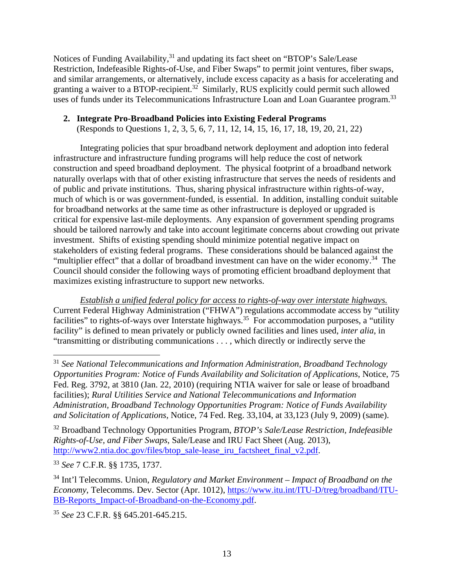Notices of Funding Availability,<sup>31</sup> and updating its fact sheet on "BTOP's Sale/Lease Restriction, Indefeasible Rights-of-Use, and Fiber Swaps" to permit joint ventures, fiber swaps, and similar arrangements, or alternatively, include excess capacity as a basis for accelerating and granting a waiver to a BTOP-recipient.<sup>32</sup> Similarly, RUS explicitly could permit such allowed uses of funds under its Telecommunications Infrastructure Loan and Loan Guarantee program.<sup>33</sup>

### **2. Integrate Pro-Broadband Policies into Existing Federal Programs**

(Responds to Questions 1, 2, 3, 5, 6, 7, 11, 12, 14, 15, 16, 17, 18, 19, 20, 21, 22)

Integrating policies that spur broadband network deployment and adoption into federal infrastructure and infrastructure funding programs will help reduce the cost of network construction and speed broadband deployment. The physical footprint of a broadband network naturally overlaps with that of other existing infrastructure that serves the needs of residents and of public and private institutions. Thus, sharing physical infrastructure within rights-of-way, much of which is or was government-funded, is essential. In addition, installing conduit suitable for broadband networks at the same time as other infrastructure is deployed or upgraded is critical for expensive last-mile deployments. Any expansion of government spending programs should be tailored narrowly and take into account legitimate concerns about crowding out private investment. Shifts of existing spending should minimize potential negative impact on stakeholders of existing federal programs. These considerations should be balanced against the "multiplier effect" that a dollar of broadband investment can have on the wider economy.<sup>34</sup> The Council should consider the following ways of promoting efficient broadband deployment that maximizes existing infrastructure to support new networks.

*Establish a unified federal policy for access to rights-of-way over interstate highways.* Current Federal Highway Administration ("FHWA") regulations accommodate access by "utility facilities" to rights-of-ways over Interstate highways.<sup>35</sup> For accommodation purposes, a "utility" facility" is defined to mean privately or publicly owned facilities and lines used, *inter alia*, in "transmitting or distributing communications . . . , which directly or indirectly serve the

32 Broadband Technology Opportunities Program, *BTOP's Sale/Lease Restriction, Indefeasible Rights-of-Use, and Fiber Swaps*, Sale/Lease and IRU Fact Sheet (Aug. 2013), http://www2.ntia.doc.gov/files/btop\_sale-lease\_iru\_factsheet\_final\_v2.pdf.

<sup>33</sup> *See* 7 C.F.R. §§ 1735, 1737.

 $\overline{a}$ 

34 Int'l Telecomms. Union, *Regulatory and Market Environment – Impact of Broadband on the Economy*, Telecomms. Dev. Sector (Apr. 1012), https://www.itu.int/ITU-D/treg/broadband/ITU-BB-Reports Impact-of-Broadband-on-the-Economy.pdf.

<sup>35</sup> *See* 23 C.F.R. §§ 645.201-645.215.

<sup>31</sup> *See National Telecommunications and Information Administration, Broadband Technology Opportunities Program: Notice of Funds Availability and Solicitation of Applications*, Notice, 75 Fed. Reg. 3792, at 3810 (Jan. 22, 2010) (requiring NTIA waiver for sale or lease of broadband facilities); *Rural Utilities Service and National Telecommunications and Information Administration, Broadband Technology Opportunities Program: Notice of Funds Availability and Solicitation of Applications,* Notice, 74 Fed. Reg. 33,104, at 33,123 (July 9, 2009) (same).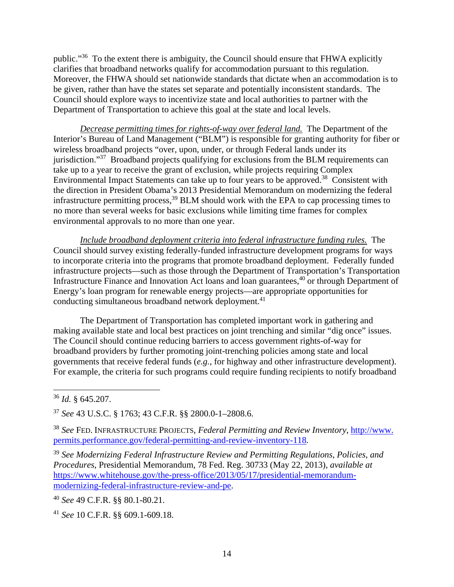public."36 To the extent there is ambiguity, the Council should ensure that FHWA explicitly clarifies that broadband networks qualify for accommodation pursuant to this regulation. Moreover, the FHWA should set nationwide standards that dictate when an accommodation is to be given, rather than have the states set separate and potentially inconsistent standards. The Council should explore ways to incentivize state and local authorities to partner with the Department of Transportation to achieve this goal at the state and local levels.

*Decrease permitting times for rights-of-way over federal land.* The Department of the Interior's Bureau of Land Management ("BLM") is responsible for granting authority for fiber or wireless broadband projects "over, upon, under, or through Federal lands under its jurisdiction."<sup>37</sup> Broadband projects qualifying for exclusions from the BLM requirements can take up to a year to receive the grant of exclusion, while projects requiring Complex Environmental Impact Statements can take up to four years to be approved.<sup>38</sup> Consistent with the direction in President Obama's 2013 Presidential Memorandum on modernizing the federal infrastructure permitting process,<sup>39</sup> BLM should work with the EPA to cap processing times to no more than several weeks for basic exclusions while limiting time frames for complex environmental approvals to no more than one year.

*Include broadband deployment criteria into federal infrastructure funding rules.* The Council should survey existing federally-funded infrastructure development programs for ways to incorporate criteria into the programs that promote broadband deployment. Federally funded infrastructure projects—such as those through the Department of Transportation's Transportation Infrastructure Finance and Innovation Act loans and loan guarantees,<sup>40</sup> or through Department of Energy's loan program for renewable energy projects—are appropriate opportunities for conducting simultaneous broadband network deployment.<sup>41</sup>

The Department of Transportation has completed important work in gathering and making available state and local best practices on joint trenching and similar "dig once" issues. The Council should continue reducing barriers to access government rights-of-way for broadband providers by further promoting joint-trenching policies among state and local governments that receive federal funds (*e.g.*, for highway and other infrastructure development). For example, the criteria for such programs could require funding recipients to notify broadband

<sup>36</sup> *Id.* § 645.207.

<sup>37</sup> *See* 43 U.S.C. § 1763; 43 C.F.R. §§ 2800.0-1–2808.6.

<sup>38</sup> *See* FED. INFRASTRUCTURE PROJECTS, *Federal Permitting and Review Inventory*, http://www. permits.performance.gov/federal-permitting-and-review-inventory-118.

<sup>39</sup> *See Modernizing Federal Infrastructure Review and Permitting Regulations, Policies, and Procedures*, Presidential Memorandum, 78 Fed. Reg. 30733 (May 22, 2013), *available at*  https://www.whitehouse.gov/the-press-office/2013/05/17/presidential-memorandummodernizing-federal-infrastructure-review-and-pe.

<sup>40</sup> *See* 49 C.F.R. §§ 80.1-80.21.

<sup>41</sup> *See* 10 C.F.R. §§ 609.1-609.18.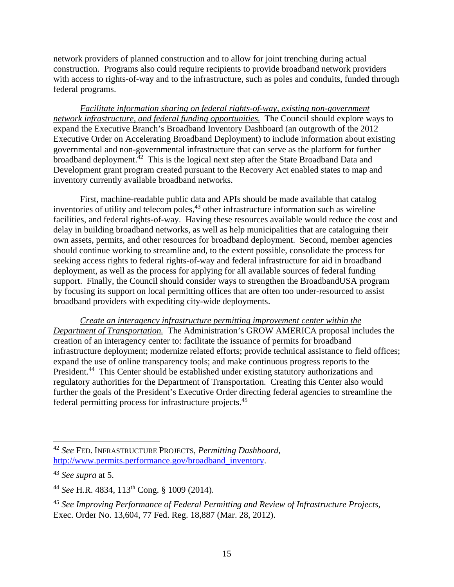network providers of planned construction and to allow for joint trenching during actual construction. Programs also could require recipients to provide broadband network providers with access to rights-of-way and to the infrastructure, such as poles and conduits, funded through federal programs.

*Facilitate information sharing on federal rights-of-way, existing non-government network infrastructure, and federal funding opportunities.* The Council should explore ways to expand the Executive Branch's Broadband Inventory Dashboard (an outgrowth of the 2012 Executive Order on Accelerating Broadband Deployment) to include information about existing governmental and non-governmental infrastructure that can serve as the platform for further broadband deployment.<sup>42</sup> This is the logical next step after the State Broadband Data and Development grant program created pursuant to the Recovery Act enabled states to map and inventory currently available broadband networks.

First, machine-readable public data and APIs should be made available that catalog inventories of utility and telecom poles, $43$  other infrastructure information such as wireline facilities, and federal rights-of-way. Having these resources available would reduce the cost and delay in building broadband networks, as well as help municipalities that are cataloguing their own assets, permits, and other resources for broadband deployment. Second, member agencies should continue working to streamline and, to the extent possible, consolidate the process for seeking access rights to federal rights-of-way and federal infrastructure for aid in broadband deployment, as well as the process for applying for all available sources of federal funding support. Finally, the Council should consider ways to strengthen the BroadbandUSA program by focusing its support on local permitting offices that are often too under-resourced to assist broadband providers with expediting city-wide deployments.

*Create an interagency infrastructure permitting improvement center within the Department of Transportation.* The Administration's GROW AMERICA proposal includes the creation of an interagency center to: facilitate the issuance of permits for broadband infrastructure deployment; modernize related efforts; provide technical assistance to field offices; expand the use of online transparency tools; and make continuous progress reports to the President.<sup>44</sup> This Center should be established under existing statutory authorizations and regulatory authorities for the Department of Transportation. Creating this Center also would further the goals of the President's Executive Order directing federal agencies to streamline the federal permitting process for infrastructure projects.45

<sup>42</sup> *See* FED. INFRASTRUCTURE PROJECTS, *Permitting Dashboard*, http://www.permits.performance.gov/broadband\_inventory.

<sup>43</sup> *See supra* at 5.

<sup>44</sup> *See* H.R. 4834, 113th Cong. § 1009 (2014).

<sup>45</sup> *See Improving Performance of Federal Permitting and Review of Infrastructure Projects*, Exec. Order No. 13,604, 77 Fed. Reg. 18,887 (Mar. 28, 2012).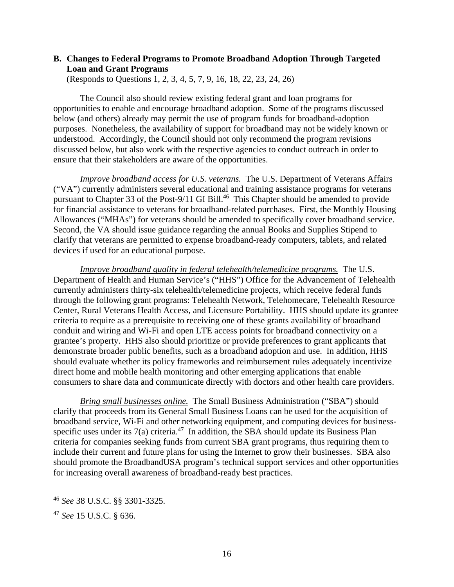## **B. Changes to Federal Programs to Promote Broadband Adoption Through Targeted Loan and Grant Programs**

(Responds to Questions 1, 2, 3, 4, 5, 7, 9, 16, 18, 22, 23, 24, 26)

The Council also should review existing federal grant and loan programs for opportunities to enable and encourage broadband adoption. Some of the programs discussed below (and others) already may permit the use of program funds for broadband-adoption purposes. Nonetheless, the availability of support for broadband may not be widely known or understood. Accordingly, the Council should not only recommend the program revisions discussed below, but also work with the respective agencies to conduct outreach in order to ensure that their stakeholders are aware of the opportunities.

*Improve broadband access for U.S. veterans.* The U.S. Department of Veterans Affairs ("VA") currently administers several educational and training assistance programs for veterans pursuant to Chapter 33 of the Post-9/11 GI Bill.<sup>46</sup> This Chapter should be amended to provide for financial assistance to veterans for broadband-related purchases. First, the Monthly Housing Allowances ("MHAs") for veterans should be amended to specifically cover broadband service. Second, the VA should issue guidance regarding the annual Books and Supplies Stipend to clarify that veterans are permitted to expense broadband-ready computers, tablets, and related devices if used for an educational purpose.

*Improve broadband quality in federal telehealth/telemedicine programs.* The U.S. Department of Health and Human Service's ("HHS") Office for the Advancement of Telehealth currently administers thirty-six telehealth/telemedicine projects, which receive federal funds through the following grant programs: Telehealth Network, Telehomecare, Telehealth Resource Center, Rural Veterans Health Access, and Licensure Portability. HHS should update its grantee criteria to require as a prerequisite to receiving one of these grants availability of broadband conduit and wiring and Wi-Fi and open LTE access points for broadband connectivity on a grantee's property. HHS also should prioritize or provide preferences to grant applicants that demonstrate broader public benefits, such as a broadband adoption and use. In addition, HHS should evaluate whether its policy frameworks and reimbursement rules adequately incentivize direct home and mobile health monitoring and other emerging applications that enable consumers to share data and communicate directly with doctors and other health care providers.

*Bring small businesses online.* The Small Business Administration ("SBA") should clarify that proceeds from its General Small Business Loans can be used for the acquisition of broadband service, Wi-Fi and other networking equipment, and computing devices for businessspecific uses under its  $7(a)$  criteria.<sup>47</sup> In addition, the SBA should update its Business Plan criteria for companies seeking funds from current SBA grant programs, thus requiring them to include their current and future plans for using the Internet to grow their businesses. SBA also should promote the BroadbandUSA program's technical support services and other opportunities for increasing overall awareness of broadband-ready best practices.

<sup>46</sup> *See* 38 U.S.C. §§ 3301-3325.

<sup>47</sup> *See* 15 U.S.C. § 636.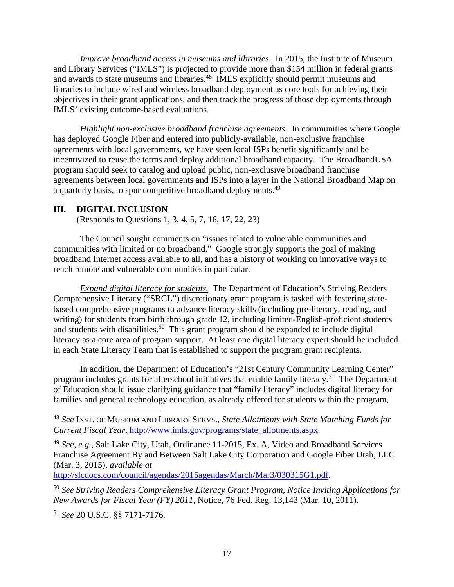*Improve broadband access in museums and libraries.* In 2015, the Institute of Museum and Library Services ("IMLS") is projected to provide more than \$154 million in federal grants and awards to state museums and libraries.<sup>48</sup> IMLS explicitly should permit museums and libraries to include wired and wireless broadband deployment as core tools for achieving their objectives in their grant applications, and then track the progress of those deployments through IMLS' existing outcome-based evaluations.

*Highlight non-exclusive broadband franchise agreements.* In communities where Google has deployed Google Fiber and entered into publicly-available, non-exclusive franchise agreements with local governments, we have seen local ISPs benefit significantly and be incentivized to reuse the terms and deploy additional broadband capacity. The BroadbandUSA program should seek to catalog and upload public, non-exclusive broadband franchise agreements between local governments and ISPs into a layer in the National Broadband Map on a quarterly basis, to spur competitive broadband deployments.49

## **III. DIGITAL INCLUSION**

(Responds to Questions 1, 3, 4, 5, 7, 16, 17, 22, 23)

The Council sought comments on "issues related to vulnerable communities and communities with limited or no broadband." Google strongly supports the goal of making broadband Internet access available to all, and has a history of working on innovative ways to reach remote and vulnerable communities in particular.

*Expand digital literacy for students.* The Department of Education's Striving Readers Comprehensive Literacy ("SRCL") discretionary grant program is tasked with fostering statebased comprehensive programs to advance literacy skills (including pre-literacy, reading, and writing) for students from birth through grade 12, including limited-English-proficient students and students with disabilities.<sup>50</sup> This grant program should be expanded to include digital literacy as a core area of program support. At least one digital literacy expert should be included in each State Literacy Team that is established to support the program grant recipients.

 In addition, the Department of Education's "21st Century Community Learning Center" program includes grants for afterschool initiatives that enable family literacy.51 The Department of Education should issue clarifying guidance that "family literacy" includes digital literacy for families and general technology education, as already offered for students within the program,

http://slcdocs.com/council/agendas/2015agendas/March/Mar3/030315G1.pdf.

<sup>50</sup> *See Striving Readers Comprehensive Literacy Grant Program, Notice Inviting Applications for New Awards for Fiscal Year (FY) 2011*, Notice, 76 Fed. Reg. 13,143 (Mar. 10, 2011).

<sup>51</sup> *See* 20 U.S.C. §§ 7171-7176.

 $\overline{a}$ 

<sup>48</sup> *See* INST. OF MUSEUM AND LIBRARY SERVS., *State Allotments with State Matching Funds for Current Fiscal Year*, http://www.imls.gov/programs/state\_allotments.aspx.

<sup>49</sup> *See, e.g.*, Salt Lake City, Utah, Ordinance 11-2015, Ex. A, Video and Broadband Services Franchise Agreement By and Between Salt Lake City Corporation and Google Fiber Utah, LLC (Mar. 3, 2015), *available at*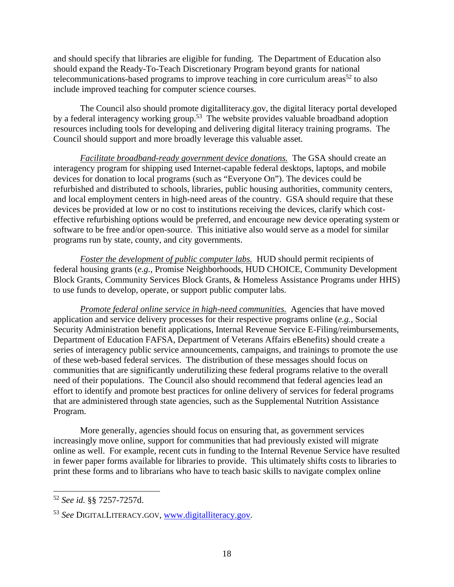and should specify that libraries are eligible for funding. The Department of Education also should expand the Ready-To-Teach Discretionary Program beyond grants for national telecommunications-based programs to improve teaching in core curriculum areas<sup>52</sup> to also include improved teaching for computer science courses.

 The Council also should promote digitalliteracy.gov, the digital literacy portal developed by a federal interagency working group.<sup>53</sup> The website provides valuable broadband adoption resources including tools for developing and delivering digital literacy training programs. The Council should support and more broadly leverage this valuable asset.

*Facilitate broadband-ready government device donations.* The GSA should create an interagency program for shipping used Internet-capable federal desktops, laptops, and mobile devices for donation to local programs (such as "Everyone On"). The devices could be refurbished and distributed to schools, libraries, public housing authorities, community centers, and local employment centers in high-need areas of the country. GSA should require that these devices be provided at low or no cost to institutions receiving the devices, clarify which costeffective refurbishing options would be preferred, and encourage new device operating system or software to be free and/or open-source. This initiative also would serve as a model for similar programs run by state, county, and city governments.

*Foster the development of public computer labs.* HUD should permit recipients of federal housing grants (*e.g.*, Promise Neighborhoods, HUD CHOICE, Community Development Block Grants, Community Services Block Grants, & Homeless Assistance Programs under HHS) to use funds to develop, operate, or support public computer labs.

*Promote federal online service in high-need communities.* Agencies that have moved application and service delivery processes for their respective programs online (*e.g.*, Social Security Administration benefit applications, Internal Revenue Service E-Filing/reimbursements, Department of Education FAFSA, Department of Veterans Affairs eBenefits) should create a series of interagency public service announcements, campaigns, and trainings to promote the use of these web-based federal services. The distribution of these messages should focus on communities that are significantly underutilizing these federal programs relative to the overall need of their populations. The Council also should recommend that federal agencies lead an effort to identify and promote best practices for online delivery of services for federal programs that are administered through state agencies, such as the Supplemental Nutrition Assistance Program.

More generally, agencies should focus on ensuring that, as government services increasingly move online, support for communities that had previously existed will migrate online as well. For example, recent cuts in funding to the Internal Revenue Service have resulted in fewer paper forms available for libraries to provide. This ultimately shifts costs to libraries to print these forms and to librarians who have to teach basic skills to navigate complex online

<sup>52</sup> *See id.* §§ 7257-7257d.

<sup>53</sup> *See* DIGITALLITERACY.GOV, www.digitalliteracy.gov.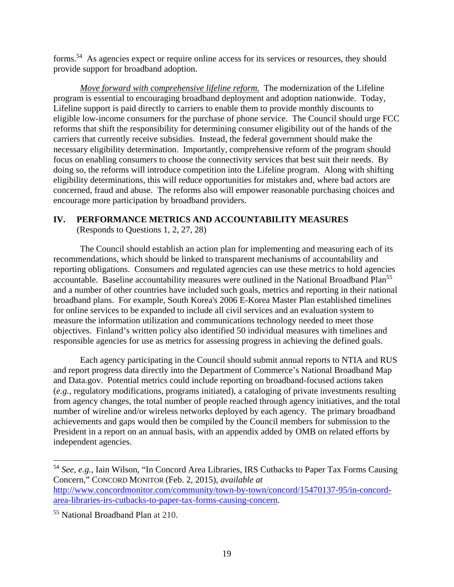forms.54 As agencies expect or require online access for its services or resources, they should provide support for broadband adoption.

*Move forward with comprehensive lifeline reform.* The modernization of the Lifeline program is essential to encouraging broadband deployment and adoption nationwide. Today, Lifeline support is paid directly to carriers to enable them to provide monthly discounts to eligible low-income consumers for the purchase of phone service. The Council should urge FCC reforms that shift the responsibility for determining consumer eligibility out of the hands of the carriers that currently receive subsidies. Instead, the federal government should make the necessary eligibility determination. Importantly, comprehensive reform of the program should focus on enabling consumers to choose the connectivity services that best suit their needs. By doing so, the reforms will introduce competition into the Lifeline program. Along with shifting eligibility determinations, this will reduce opportunities for mistakes and, where bad actors are concerned, fraud and abuse. The reforms also will empower reasonable purchasing choices and encourage more participation by broadband providers.

## **IV. PERFORMANCE METRICS AND ACCOUNTABILITY MEASURES**

(Responds to Questions 1, 2, 27, 28)

The Council should establish an action plan for implementing and measuring each of its recommendations, which should be linked to transparent mechanisms of accountability and reporting obligations. Consumers and regulated agencies can use these metrics to hold agencies accountable. Baseline accountability measures were outlined in the National Broadband Plan<sup>55</sup> and a number of other countries have included such goals, metrics and reporting in their national broadband plans. For example, South Korea's 2006 E-Korea Master Plan established timelines for online services to be expanded to include all civil services and an evaluation system to measure the information utilization and communications technology needed to meet those objectives. Finland's written policy also identified 50 individual measures with timelines and responsible agencies for use as metrics for assessing progress in achieving the defined goals.

Each agency participating in the Council should submit annual reports to NTIA and RUS and report progress data directly into the Department of Commerce's National Broadband Map and Data.gov. Potential metrics could include reporting on broadband-focused actions taken (*e.g.*, regulatory modifications, programs initiated), a cataloging of private investments resulting from agency changes, the total number of people reached through agency initiatives, and the total number of wireline and/or wireless networks deployed by each agency. The primary broadband achievements and gaps would then be compiled by the Council members for submission to the President in a report on an annual basis, with an appendix added by OMB on related efforts by independent agencies.

 $\overline{a}$ 

<sup>54</sup> *See, e.g.*, Iain Wilson, "In Concord Area Libraries, IRS Cutbacks to Paper Tax Forms Causing Concern," CONCORD MONITOR (Feb. 2, 2015), *available at* http://www.concordmonitor.com/community/town-by-town/concord/15470137-95/in-concordarea-libraries-irs-cutbacks-to-paper-tax-forms-causing-concern.

<sup>55</sup> National Broadband Plan at 210.